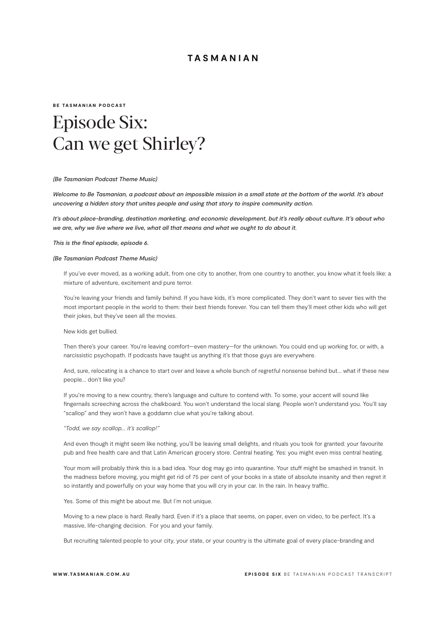#### BE TASMANIAN PODCAST

# Episode Six: Can we get Shirley?

#### *(Be Tasmanian Podcast Theme Music)*

*Welcome to Be Tasmanian, a podcast about an impossible mission in a small state at the bottom of the world. It's about uncovering a hidden story that unites people and using that story to inspire community action.*

*It's about place-branding, destination marketing, and economic development, but it's really about culture. It's about who we are, why we live where we live, what all that means and what we ought to do about it.*

*This is the final episode, episode 6.*

#### *(Be Tasmanian Podcast Theme Music)*

If you've ever moved, as a working adult, from one city to another, from one country to another, you know what it feels like: a mixture of adventure, excitement and pure terror.

You're leaving your friends and family behind. If you have kids, it's more complicated. They don't want to sever ties with the most important people in the world to them: their best friends forever. You can tell them they'll meet other kids who will get their jokes, but they've seen all the movies.

New kids get bullied.

Then there's your career. You're leaving comfort—even mastery—for the unknown. You could end up working for, or with, a narcissistic psychopath. If podcasts have taught us anything it's that those guys are everywhere.

And, sure, relocating is a chance to start over and leave a whole bunch of regretful nonsense behind but… what if these new people… don't like you?

If you're moving to a new country, there's language and culture to contend with. To some, your accent will sound like fingernails screeching across the chalkboard. You won't understand the local slang. People won't understand you. You'll say "scallop" and they won't have a goddamn clue what you're talking about.

*"Todd, we say scallop… it's scallop!"*

And even though it might seem like nothing, you'll be leaving small delights, and rituals you took for granted: your favourite pub and free health care and that Latin American grocery store. Central heating. Yes: you might even miss central heating.

Your mom will probably think this is a bad idea. Your dog may go into quarantine. Your stuff might be smashed in transit. In the madness before moving, you might get rid of 75 per cent of your books in a state of absolute insanity and then regret it so instantly and powerfully on your way home that you will cry in your car. In the rain. In heavy traffic.

Yes. Some of this might be about me. But I'm not unique.

Moving to a new place is hard. Really hard. Even if it's a place that seems, on paper, even on video, to be perfect. It's a massive, life-changing decision. For you and your family.

But recruiting talented people to your city, your state, or your country is the ultimate goal of every place-branding and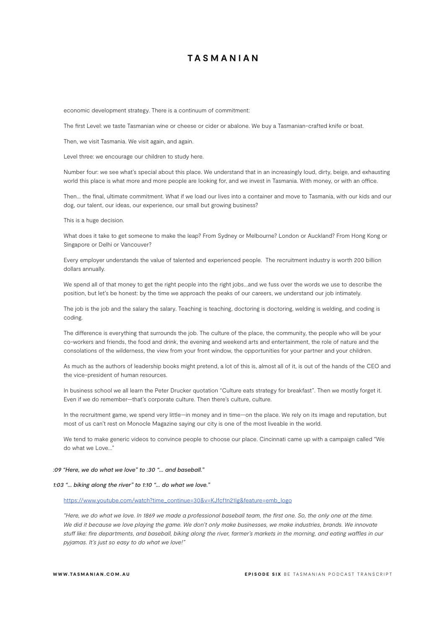economic development strategy. There is a continuum of commitment:

The first Level: we taste Tasmanian wine or cheese or cider or abalone. We buy a Tasmanian-crafted knife or boat.

Then, we visit Tasmania. We visit again, and again.

Level three: we encourage our children to study here.

Number four: we see what's special about this place. We understand that in an increasingly loud, dirty, beige, and exhausting world this place is what more and more people are looking for, and we invest in Tasmania. With money, or with an office.

Then… the final, ultimate commitment. What if we load our lives into a container and move to Tasmania, with our kids and our dog, our talent, our ideas, our experience, our small but growing business?

This is a huge decision.

What does it take to get someone to make the leap? From Sydney or Melbourne? London or Auckland? From Hong Kong or Singapore or Delhi or Vancouver?

Every employer understands the value of talented and experienced people. The recruitment industry is worth 200 billion dollars annually.

We spend all of that money to get the right people into the right jobs…and we fuss over the words we use to describe the position, but let's be honest: by the time we approach the peaks of our careers, we understand our job intimately.

The job is the job and the salary the salary. Teaching is teaching, doctoring is doctoring, welding is welding, and coding is coding.

The difference is everything that surrounds the job. The culture of the place, the community, the people who will be your co-workers and friends, the food and drink, the evening and weekend arts and entertainment, the role of nature and the consolations of the wilderness, the view from your front window, the opportunities for your partner and your children.

As much as the authors of leadership books might pretend, a lot of this is, almost all of it, is out of the hands of the CEO and the vice-president of human resources.

In business school we all learn the Peter Drucker quotation "Culture eats strategy for breakfast". Then we mostly forget it. Even if we do remember—that's corporate culture. Then there's culture, culture.

In the recruitment game, we spend very little—in money and in time—on the place. We rely on its image and reputation, but most of us can't rest on Monocle Magazine saying our city is one of the most liveable in the world.

We tend to make generic videos to convince people to choose our place. Cincinnati came up with a campaign called "We do what we Love."

#### *:09 "Here, we do what we love" to :30 "… and baseball."*

### *1:03 "… biking along the river" to 1:10 "… do what we love."*

https://www.youtube.com/watch?time\_continue=30&v=KJfcf1n21Ig&feature=emb\_logo

*"Here, we do what we love. In 1869 we made a professional baseball team, the first one. So, the only one at the time.*  We did it because we love playing the game. We don't only make businesses, we make industries, brands. We innovate *stuff like: fire departments, and baseball, biking along the river, farmer's markets in the morning, and eating waffles in our pyjamas. It's just so easy to do what we love!"*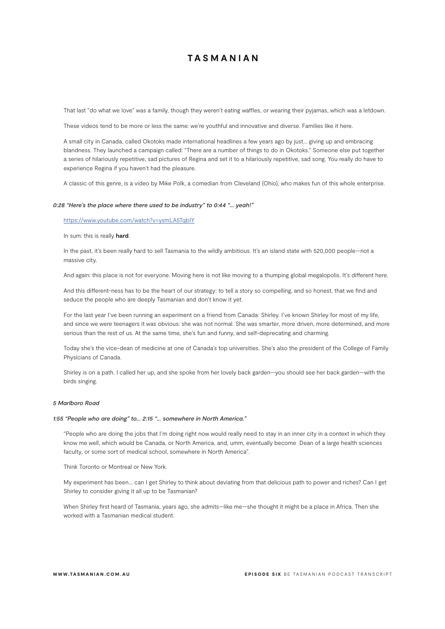That last "do what we love" was a family, though they weren't eating waffles, or wearing their pyjamas, which was a letdown.

These videos tend to be more or less the same: we're youthful and innovative and diverse. Families like it here.

A small city in Canada, called Okotoks made international headlines a few years ago by just… giving up and embracing blandness. They launched a campaign called: "There are a number of things to do in Okotoks." Someone else put together a series of hilariously repetitive, sad pictures of Regina and set it to a hilariously repetitive, sad song. You really do have to experience Regina if you haven't had the pleasure.

A classic of this genre, is a video by Mike Polk, a comedian from Cleveland (Ohio), who makes fun of this whole enterprise.

#### *0:28 "Here's the place where there used to be industry" to 0:44 "… yeah!"*

#### https://www.youtube.com/watch?v=ysmLA5TqbIY

In sum: this is really **hard**.

In the past, it's been really hard to sell Tasmania to the wildly ambitious. It's an island state with 520,000 people—not a massive city.

And again: this place is not for everyone. Moving here is not like moving to a thumping global megalopolis. It's different here.

And this different-ness has to be the heart of our strategy: to tell a story so compelling, and so honest, that we find and seduce the people who are deeply Tasmanian and don't know it yet.

For the last year I've been running an experiment on a friend from Canada: Shirley. I've known Shirley for most of my life, and since we were teenagers it was obvious: she was not normal. She was smarter, more driven, more determined, and more serious than the rest of us. At the same time, she's fun and funny, and self-deprecating and charming.

Today she's the vice-dean of medicine at one of Canada's top universities. She's also the president of the College of Family Physicians of Canada.

Shirley is on a path. I called her up, and she spoke from her lovely back garden—you should see her back garden—with the birds singing.

#### *5 Marlboro Road*

#### *1:55 "People who are doing" to… 2:15 "… somewhere in North America."*

"People who are doing the jobs that I'm doing right now would really need to stay in an inner city in a context in which they know me well, which would be Canada, or North America, and, umm, eventually become Dean of a large health sciences faculty, or some sort of medical school, somewhere in North America".

Think Toronto or Montreal or New York.

My experiment has been… can I get Shirley to think about deviating from that delicious path to power and riches? Can I get Shirley to consider giving it all up to be Tasmanian?

When Shirley first heard of Tasmania, years ago, she admits—like me—she thought it might be a place in Africa. Then she worked with a Tasmanian medical student.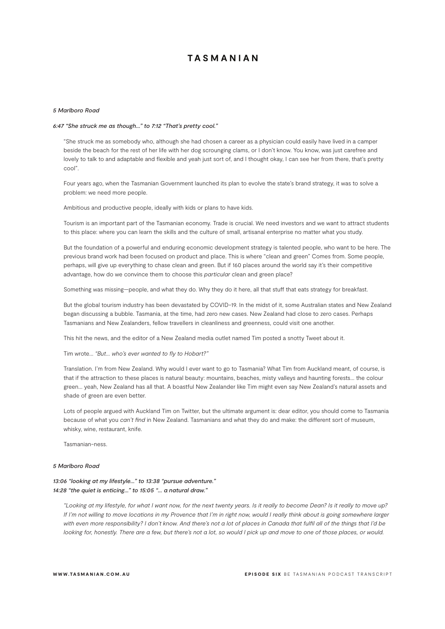#### *5 Marlboro Road*

#### *6:47 "She struck me as though…" to 7:12 "That's pretty cool."*

"She struck me as somebody who, although she had chosen a career as a physician could easily have lived in a camper beside the beach for the rest of her life with her dog scrounging clams, or I don't know. You know, was just carefree and lovely to talk to and adaptable and flexible and yeah just sort of, and I thought okay, I can see her from there, that's pretty cool".

Four years ago, when the Tasmanian Government launched its plan to evolve the state's brand strategy, it was to solve a problem: we need more people.

Ambitious and productive people, ideally with kids or plans to have kids.

Tourism is an important part of the Tasmanian economy. Trade is crucial. We need investors and we want to attract students to this place: where you can learn the skills and the culture of small, artisanal enterprise no matter what you study.

But the foundation of a powerful and enduring economic development strategy is talented people, who want to be here. The previous brand work had been focused on product and place. This is where "clean and green" Comes from. Some people, perhaps, will give up everything to chase clean and green. But if 160 places around the world say it's their competitive advantage, how do we convince them to choose this *particular* clean and green place?

Something was missing—people, and what they do. Why they do it here, all that stuff that eats strategy for breakfast.

But the global tourism industry has been devastated by COVID-19. In the midst of it, some Australian states and New Zealand began discussing a bubble. Tasmania, at the time, had zero new cases. New Zealand had close to zero cases. Perhaps Tasmanians and New Zealanders, fellow travellers in cleanliness and greenness, could visit one another.

This hit the news, and the editor of a New Zealand media outlet named Tim posted a snotty Tweet about it.

Tim wrote… *"But… who's ever wanted to fly to Hobart?"*

Translation. I'm from New Zealand. Why would I ever want to go to Tasmania? What Tim from Auckland meant, of course, is that if the attraction to these places is natural beauty: mountains, beaches, misty valleys and haunting forests… the colour green… yeah, New Zealand has all that. A boastful New Zealander like Tim might even say New Zealand's natural assets and shade of green are even better.

Lots of people argued with Auckland Tim on Twitter, but the ultimate argument is: dear editor, you should come to Tasmania because of what you *can't find* in New Zealand. Tasmanians and what they do and make: the different sort of museum, whisky, wine, restaurant, knife.

Tasmanian-ness.

#### *5 Marlboro Road*

### *13:06 "looking at my lifestyle…" to 13:38 "pursue adventure." 14:28 "the quiet is enticing…" to 15:05 "… a natural draw."*

*"Looking at my lifestyle, for what I want now, for the next twenty years. Is it really to become Dean? Is it really to move up? If I'm not willing to move locations in my Provence that I'm in right now, would I really think about is going somewhere larger with even more responsibility? I don't know. And there's not a lot of places in Canada that fulfil all of the things that I'd be looking for, honestly. There are a few, but there's not a lot, so would I pick up and move to one of those places, or would.*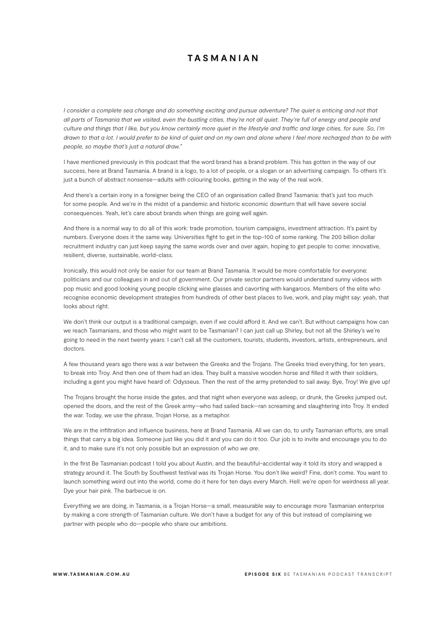*I consider a complete sea change and do something exciting and pursue adventure? The quiet is enticing and not that all parts of Tasmania that we visited, even the bustling cities, they're not all quiet. They're full of energy and people and culture and things that I like, but you know certainly more quiet in the lifestyle and traffic and large cities, for sure. So, I'm drawn to that a lot. I would prefer to be kind of quiet and on my own and alone where I feel more recharged than to be with people, so maybe that's just a natural draw."*

I have mentioned previously in this podcast that the word brand has a brand problem. This has gotten in the way of our success, here at Brand Tasmania. A brand is a logo, to a lot of people, or a slogan or an advertising campaign. To others it's just a bunch of abstract nonsense—adults with colouring books, getting in the way of the real work.

And there's a certain irony in a foreigner being the CEO of an organisation called Brand Tasmania: that's just too much for some people. And we're in the midst of a pandemic and historic economic downturn that will have severe social consequences. Yeah, let's care about brands when things are going well again.

And there is a normal way to do all of this work: trade promotion, tourism campaigns, investment attraction. It's paint by numbers. Everyone does it the same way. Universities fight to get in the top-100 of some ranking. The 200 billion dollar recruitment industry can just keep saying the same words over and over again, hoping to get people to come: innovative, resilient, diverse, sustainable, world-class.

Ironically, this would not only be easier for our team at Brand Tasmania. It would be more comfortable for everyone: politicians and our colleagues in and out of government. Our private sector partners would understand sunny videos with pop music and good looking young people clicking wine glasses and cavorting with kangaroos. Members of the elite who recognise economic development strategies from hundreds of other best places to live, work, and play might say: yeah, that looks about right.

We don't think our output is a traditional campaign, even if we could afford it. And we can't. But without campaigns how can we reach Tasmanians, and those who might want to be Tasmanian? I can just call up Shirley, but not all the Shirley's we're going to need in the next twenty years: I can't call all the customers, tourists, students, investors, artists, entrepreneurs, and doctors.

A few thousand years ago there was a war between the Greeks and the Trojans. The Greeks tried everything, for ten years, to break into Troy. And then one of them had an idea. They built a massive wooden horse and filled it with their soldiers, including a gent you might have heard of: Odysseus. Then the rest of the army pretended to sail away. Bye, Troy! We give up!

The Trojans brought the horse inside the gates, and that night when everyone was asleep, or drunk, the Greeks jumped out, opened the doors, and the rest of the Greek army—who had sailed back—ran screaming and slaughtering into Troy. It ended the war. Today, we use the phrase, Trojan Horse, as a metaphor.

We are in the infiltration and influence business, here at Brand Tasmania. All we can do, to unify Tasmanian efforts, are small things that carry a big idea. Someone just like you did it and you can do it too. Our job is to invite and encourage you to do it, and to make sure it's not only possible but an expression of *who we are*.

In the first Be Tasmanian podcast I told you about Austin, and the beautiful-accidental way it told its story and wrapped a strategy around it. The South by Southwest festival was its Trojan Horse. You don't like weird? Fine, don't come. You want to launch something weird out into the world, come do it here for ten days every March. Hell: we're open for weirdness all year. Dye your hair pink. The barbecue is on.

Everything we are doing, in Tasmania, is a Trojan Horse—a small, measurable way to encourage more Tasmanian enterprise by making a core strength of Tasmanian culture. We don't have a budget for any of this but instead of complaining we partner with people who do—people who share our ambitions.